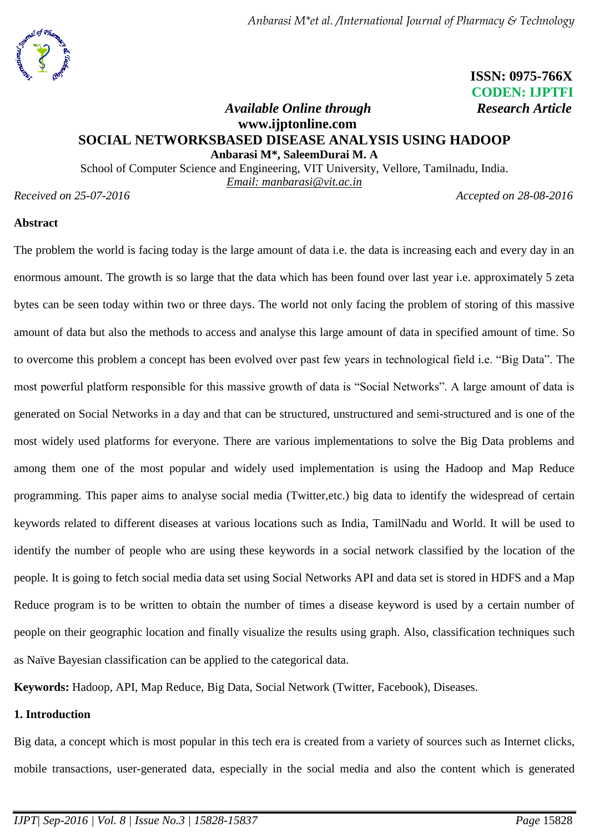

 **ISSN: 0975-766X CODEN: IJPTFI**

## *<i>Available Online through* Research Article **www.ijptonline.com SOCIAL NETWORKSBASED DISEASE ANALYSIS USING HADOOP Anbarasi M\*, SaleemDurai M. A**

School of Computer Science and Engineering, VIT University, Vellore, Tamilnadu, India. *Email: [manbarasi@vit.ac.in](mailto:manbarasi@vit.ac.in,%20masaleemdurai@vit.ac.in)*

*Received on 25-07-2016 Accepted on 28-08-2016*

#### **Abstract**

The problem the world is facing today is the large amount of data i.e. the data is increasing each and every day in an enormous amount. The growth is so large that the data which has been found over last year i.e. approximately 5 zeta bytes can be seen today within two or three days. The world not only facing the problem of storing of this massive amount of data but also the methods to access and analyse this large amount of data in specified amount of time. So to overcome this problem a concept has been evolved over past few years in technological field i.e. "Big Data". The most powerful platform responsible for this massive growth of data is "Social Networks". A large amount of data is generated on Social Networks in a day and that can be structured, unstructured and semi-structured and is one of the most widely used platforms for everyone. There are various implementations to solve the Big Data problems and among them one of the most popular and widely used implementation is using the Hadoop and Map Reduce programming. This paper aims to analyse social media (Twitter,etc.) big data to identify the widespread of certain keywords related to different diseases at various locations such as India, TamilNadu and World. It will be used to identify the number of people who are using these keywords in a social network classified by the location of the people. It is going to fetch social media data set using Social Networks API and data set is stored in HDFS and a Map Reduce program is to be written to obtain the number of times a disease keyword is used by a certain number of people on their geographic location and finally visualize the results using graph. Also, classification techniques such as Naïve Bayesian classification can be applied to the categorical data.

**Keywords:** Hadoop, API, Map Reduce, Big Data, Social Network (Twitter, Facebook), Diseases.

### **1. Introduction**

Big data, a concept which is most popular in this tech era is created from a variety of sources such as Internet clicks, mobile transactions, user-generated data, especially in the social media and also the content which is generated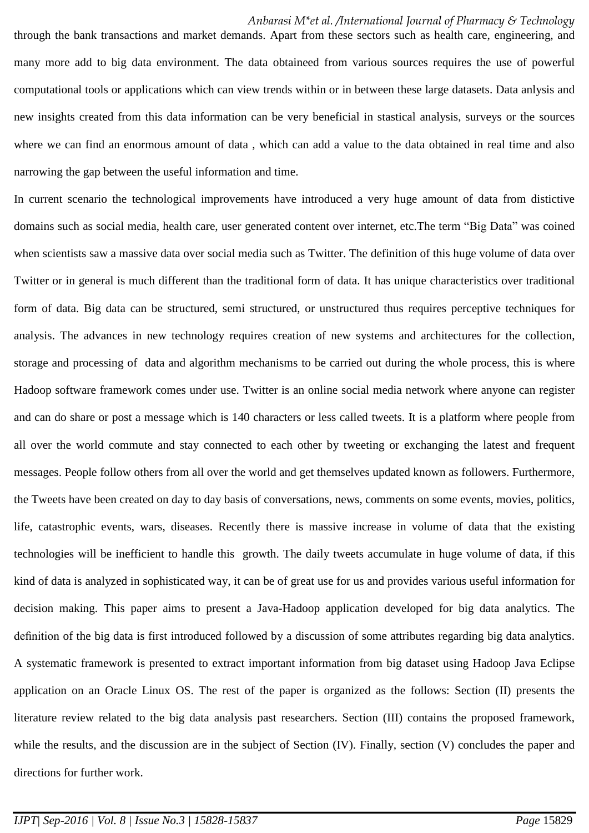#### *Anbarasi M\*et al. /International Journal of Pharmacy & Technology*

through the bank transactions and market demands. Apart from these sectors such as health care, engineering, and many more add to big data environment. The data obtaineed from various sources requires the use of powerful computational tools or applications which can view trends within or in between these large datasets. Data anlysis and new insights created from this data information can be very beneficial in stastical analysis, surveys or the sources where we can find an enormous amount of data, which can add a value to the data obtained in real time and also narrowing the gap between the useful information and time.

In current scenario the technological improvements have introduced a very huge amount of data from distictive domains such as social media, health care, user generated content over internet, etc.The term "Big Data" was coined when scientists saw a massive data over social media such as Twitter. The definition of this huge volume of data over Twitter or in general is much different than the traditional form of data. It has unique characteristics over traditional form of data. Big data can be structured, semi structured, or unstructured thus requires perceptive techniques for analysis. The advances in new technology requires creation of new systems and architectures for the collection, storage and processing of data and algorithm mechanisms to be carried out during the whole process, this is where Hadoop software framework comes under use. Twitter is an online social media network where anyone can register and can do share or post a message which is 140 characters or less called tweets. It is a platform where people from all over the world commute and stay connected to each other by tweeting or exchanging the latest and frequent messages. People follow others from all over the world and get themselves updated known as followers. Furthermore, the Tweets have been created on day to day basis of conversations, news, comments on some events, movies, politics, life, catastrophic events, wars, diseases. Recently there is massive increase in volume of data that the existing technologies will be inefficient to handle this growth. The daily tweets accumulate in huge volume of data, if this kind of data is analyzed in sophisticated way, it can be of great use for us and provides various useful information for decision making. This paper aims to present a Java-Hadoop application developed for big data analytics. The definition of the big data is first introduced followed by a discussion of some attributes regarding big data analytics. A systematic framework is presented to extract important information from big dataset using Hadoop Java Eclipse application on an Oracle Linux OS. The rest of the paper is organized as the follows: Section (II) presents the literature review related to the big data analysis past researchers. Section (III) contains the proposed framework, while the results, and the discussion are in the subject of Section (IV). Finally, section (V) concludes the paper and directions for further work.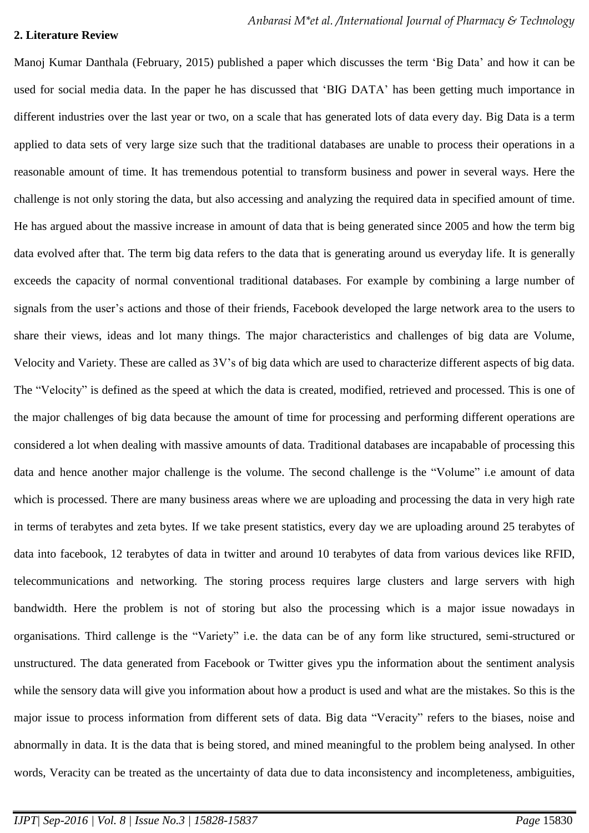#### **2. Literature Review**

Manoj Kumar Danthala (February, 2015) published a paper which discusses the term 'Big Data' and how it can be used for social media data. In the paper he has discussed that 'BIG DATA' has been getting much importance in different industries over the last year or two, on a scale that has generated lots of data every day. Big Data is a term applied to data sets of very large size such that the traditional databases are unable to process their operations in a reasonable amount of time. It has tremendous potential to transform business and power in several ways. Here the challenge is not only storing the data, but also accessing and analyzing the required data in specified amount of time. He has argued about the massive increase in amount of data that is being generated since 2005 and how the term big data evolved after that. The term big data refers to the data that is generating around us everyday life. It is generally exceeds the capacity of normal conventional traditional databases. For example by combining a large number of signals from the user's actions and those of their friends, Facebook developed the large network area to the users to share their views, ideas and lot many things. The major characteristics and challenges of big data are Volume, Velocity and Variety. These are called as 3V's of big data which are used to characterize different aspects of big data. The "Velocity" is defined as the speed at which the data is created, modified, retrieved and processed. This is one of the major challenges of big data because the amount of time for processing and performing different operations are considered a lot when dealing with massive amounts of data. Traditional databases are incapabable of processing this data and hence another major challenge is the volume. The second challenge is the "Volume" i.e amount of data which is processed. There are many business areas where we are uploading and processing the data in very high rate in terms of terabytes and zeta bytes. If we take present statistics, every day we are uploading around 25 terabytes of data into facebook, 12 terabytes of data in twitter and around 10 terabytes of data from various devices like RFID, telecommunications and networking. The storing process requires large clusters and large servers with high bandwidth. Here the problem is not of storing but also the processing which is a major issue nowadays in organisations. Third callenge is the "Variety" i.e. the data can be of any form like structured, semi-structured or unstructured. The data generated from Facebook or Twitter gives ypu the information about the sentiment analysis while the sensory data will give you information about how a product is used and what are the mistakes. So this is the major issue to process information from different sets of data. Big data "Veracity" refers to the biases, noise and abnormally in data. It is the data that is being stored, and mined meaningful to the problem being analysed. In other words, Veracity can be treated as the uncertainty of data due to data inconsistency and incompleteness, ambiguities,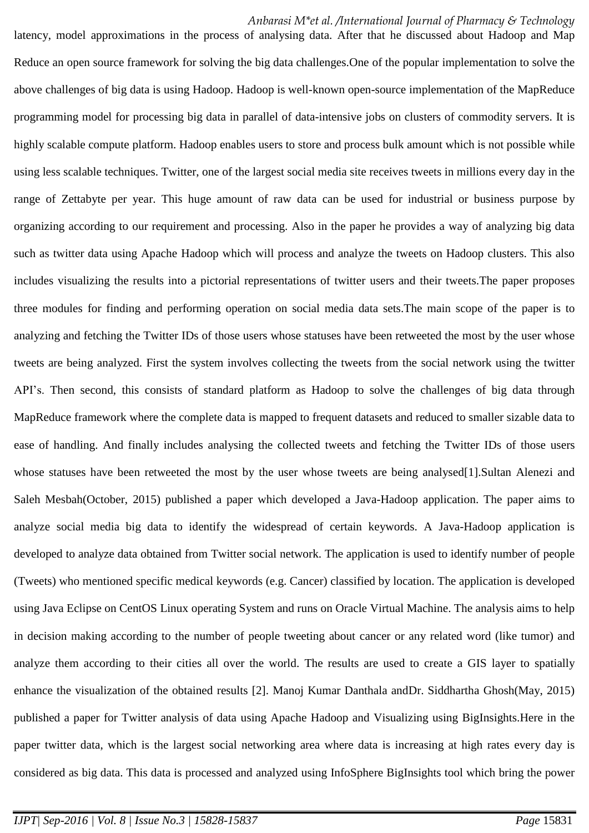#### *Anbarasi M\*et al. /International Journal of Pharmacy & Technology*

latency, model approximations in the process of analysing data. After that he discussed about Hadoop and Map Reduce an open source framework for solving the big data challenges.One of the popular implementation to solve the above challenges of big data is using Hadoop. Hadoop is well-known open-source implementation of the MapReduce programming model for processing big data in parallel of data-intensive jobs on clusters of commodity servers. It is highly scalable compute platform. Hadoop enables users to store and process bulk amount which is not possible while using less scalable techniques. Twitter, one of the largest social media site receives tweets in millions every day in the range of Zettabyte per year. This huge amount of raw data can be used for industrial or business purpose by organizing according to our requirement and processing. Also in the paper he provides a way of analyzing big data such as twitter data using Apache Hadoop which will process and analyze the tweets on Hadoop clusters. This also includes visualizing the results into a pictorial representations of twitter users and their tweets.The paper proposes three modules for finding and performing operation on social media data sets.The main scope of the paper is to analyzing and fetching the Twitter IDs of those users whose statuses have been retweeted the most by the user whose tweets are being analyzed. First the system involves collecting the tweets from the social network using the twitter API's. Then second, this consists of standard platform as Hadoop to solve the challenges of big data through MapReduce framework where the complete data is mapped to frequent datasets and reduced to smaller sizable data to ease of handling. And finally includes analysing the collected tweets and fetching the Twitter IDs of those users whose statuses have been retweeted the most by the user whose tweets are being analysed[1]. Sultan Alenezi and Saleh Mesbah(October, 2015) published a paper which developed a Java-Hadoop application. The paper aims to analyze social media big data to identify the widespread of certain keywords. A Java-Hadoop application is developed to analyze data obtained from Twitter social network. The application is used to identify number of people (Tweets) who mentioned specific medical keywords (e.g. Cancer) classified by location. The application is developed using Java Eclipse on CentOS Linux operating System and runs on Oracle Virtual Machine. The analysis aims to help in decision making according to the number of people tweeting about cancer or any related word (like tumor) and analyze them according to their cities all over the world. The results are used to create a GIS layer to spatially enhance the visualization of the obtained results [2]. Manoj Kumar Danthala andDr. Siddhartha Ghosh(May, 2015) published a paper for Twitter analysis of data using Apache Hadoop and Visualizing using BigInsights.Here in the paper twitter data, which is the largest social networking area where data is increasing at high rates every day is considered as big data. This data is processed and analyzed using InfoSphere BigInsights tool which bring the power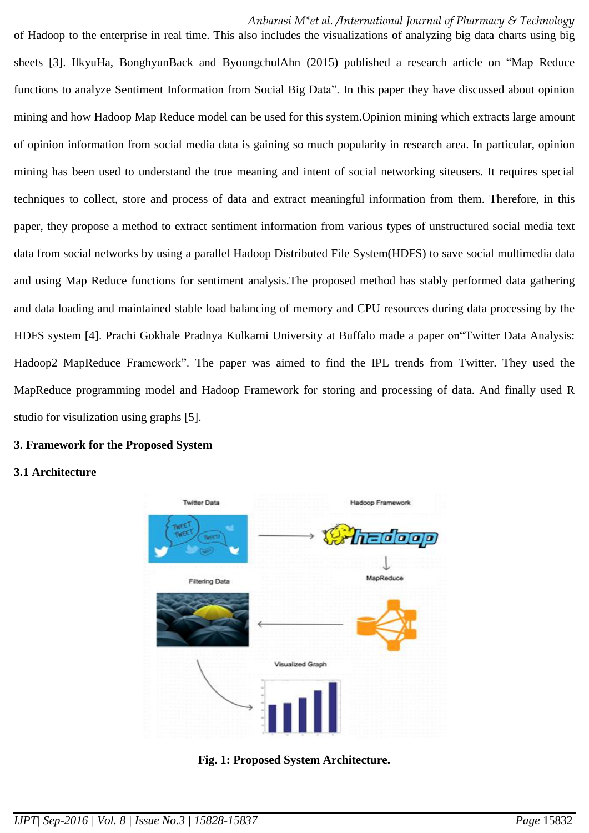*Anbarasi M\*et al. /International Journal of Pharmacy & Technology* 

of Hadoop to the enterprise in real time. This also includes the visualizations of analyzing big data charts using big sheets [3]. IlkyuHa, BonghyunBack and ByoungchulAhn (2015) published a research article on "Map Reduce functions to analyze Sentiment Information from Social Big Data". In this paper they have discussed about opinion mining and how Hadoop Map Reduce model can be used for this system.Opinion mining which extracts large amount of opinion information from social media data is gaining so much popularity in research area. In particular, opinion mining has been used to understand the true meaning and intent of social networking siteusers. It requires special techniques to collect, store and process of data and extract meaningful information from them. Therefore, in this paper, they propose a method to extract sentiment information from various types of unstructured social media text data from social networks by using a parallel Hadoop Distributed File System(HDFS) to save social multimedia data and using Map Reduce functions for sentiment analysis.The proposed method has stably performed data gathering and data loading and maintained stable load balancing of memory and CPU resources during data processing by the HDFS system [4]. Prachi Gokhale Pradnya Kulkarni University at Buffalo made a paper on"Twitter Data Analysis: Hadoop2 MapReduce Framework". The paper was aimed to find the IPL trends from Twitter. They used the MapReduce programming model and Hadoop Framework for storing and processing of data. And finally used R studio for visulization using graphs [5].

### **3. Framework for the Proposed System**

### **3.1 Architecture**



**Fig. 1: Proposed System Architecture.**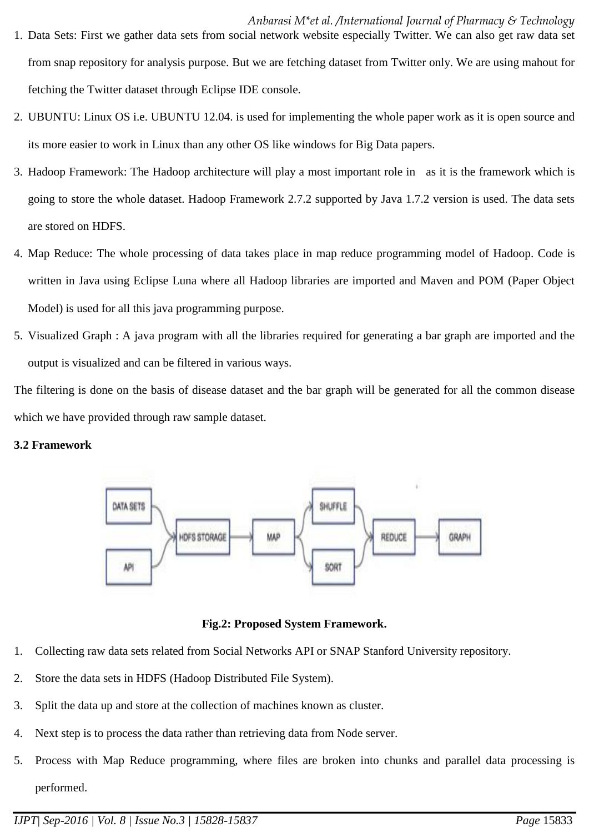- 1. Data Sets: First we gather data sets from social network website especially Twitter. We can also get raw data set from snap repository for analysis purpose. But we are fetching dataset from Twitter only. We are using mahout for fetching the Twitter dataset through Eclipse IDE console.
- 2. UBUNTU: Linux OS i.e. UBUNTU 12.04. is used for implementing the whole paper work as it is open source and its more easier to work in Linux than any other OS like windows for Big Data papers.
- 3. Hadoop Framework: The Hadoop architecture will play a most important role in as it is the framework which is going to store the whole dataset. Hadoop Framework 2.7.2 supported by Java 1.7.2 version is used. The data sets are stored on HDFS.
- 4. Map Reduce: The whole processing of data takes place in map reduce programming model of Hadoop. Code is written in Java using Eclipse Luna where all Hadoop libraries are imported and Maven and POM (Paper Object Model) is used for all this java programming purpose.
- 5. Visualized Graph : A java program with all the libraries required for generating a bar graph are imported and the output is visualized and can be filtered in various ways.

The filtering is done on the basis of disease dataset and the bar graph will be generated for all the common disease which we have provided through raw sample dataset.

### **3.2 Framework**



**Fig.2: Proposed System Framework.**

- 1. Collecting raw data sets related from Social Networks API or SNAP Stanford University repository.
- 2. Store the data sets in HDFS (Hadoop Distributed File System).
- 3. Split the data up and store at the collection of machines known as cluster.
- 4. Next step is to process the data rather than retrieving data from Node server.
- 5. Process with Map Reduce programming, where files are broken into chunks and parallel data processing is performed.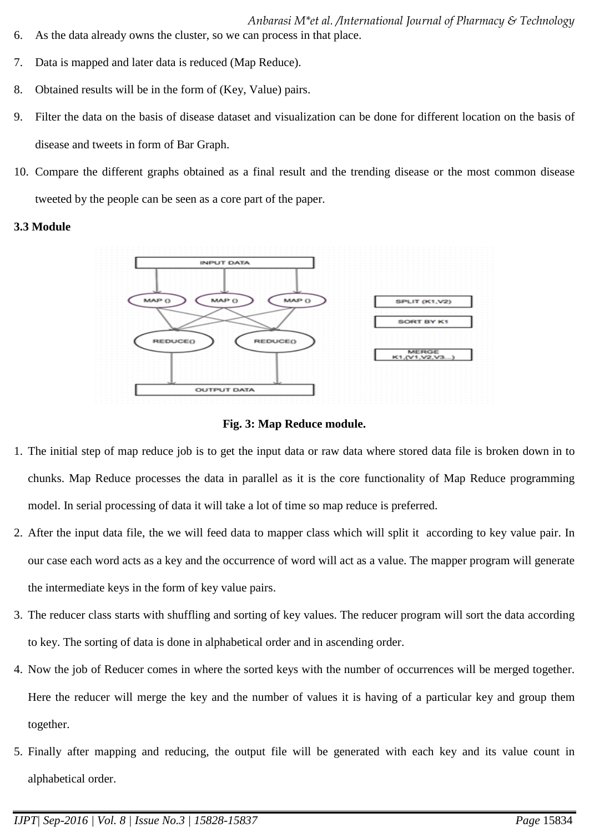- *Anbarasi M\*et al. /International Journal of Pharmacy & Technology*
- 6. As the data already owns the cluster, so we can process in that place.
- 7. Data is mapped and later data is reduced (Map Reduce).
- 8. Obtained results will be in the form of (Key, Value) pairs.
- 9. Filter the data on the basis of disease dataset and visualization can be done for different location on the basis of disease and tweets in form of Bar Graph.
- 10. Compare the different graphs obtained as a final result and the trending disease or the most common disease tweeted by the people can be seen as a core part of the paper.

### **3.3 Module**



**Fig. 3: Map Reduce module.**

- 1. The initial step of map reduce job is to get the input data or raw data where stored data file is broken down in to chunks. Map Reduce processes the data in parallel as it is the core functionality of Map Reduce programming model. In serial processing of data it will take a lot of time so map reduce is preferred.
- 2. After the input data file, the we will feed data to mapper class which will split it according to key value pair. In our case each word acts as a key and the occurrence of word will act as a value. The mapper program will generate the intermediate keys in the form of key value pairs.
- 3. The reducer class starts with shuffling and sorting of key values. The reducer program will sort the data according to key. The sorting of data is done in alphabetical order and in ascending order.
- 4. Now the job of Reducer comes in where the sorted keys with the number of occurrences will be merged together. Here the reducer will merge the key and the number of values it is having of a particular key and group them together.
- 5. Finally after mapping and reducing, the output file will be generated with each key and its value count in alphabetical order.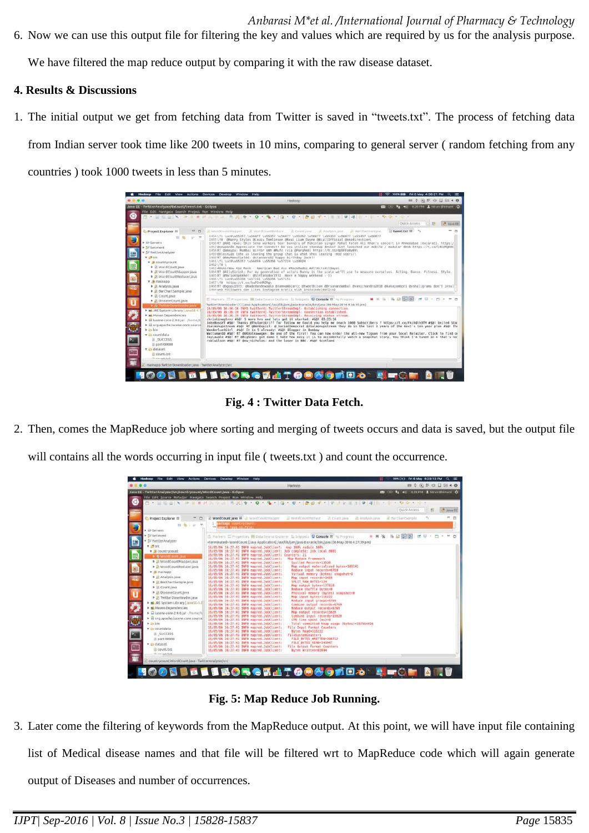6. Now we can use this output file for filtering the key and values which are required by us for the analysis purpose.

We have filtered the map reduce output by comparing it with the raw disease dataset.

## **4. Results & Discussions**

1. The initial output we get from fetching data from Twitter is saved in "tweets.txt". The process of fetching data from Indian server took time like 200 tweets in 10 mins, comparing to general server ( random fetching from any countries ) took 1000 tweets in less than 5 minutes.

| <b>Hadoop</b> File Edit View<br><b>Actions</b>                                                                                                                                                                                                                                                                                                                                                            | Help<br>Devices<br>Develop<br>Window                                                                                                                                                                                                                                                                                                                                                                                                                                                                                                                                                                                                                                                                                                                                                                                                                                                                                                                                                                                                                                                                                                                                                                                                                                                                                                                                                                                                                                                                                                                                                                                                                                                     | 100% BW: Fri 6 May 4/36/21 PM Q                             |
|-----------------------------------------------------------------------------------------------------------------------------------------------------------------------------------------------------------------------------------------------------------------------------------------------------------------------------------------------------------------------------------------------------------|------------------------------------------------------------------------------------------------------------------------------------------------------------------------------------------------------------------------------------------------------------------------------------------------------------------------------------------------------------------------------------------------------------------------------------------------------------------------------------------------------------------------------------------------------------------------------------------------------------------------------------------------------------------------------------------------------------------------------------------------------------------------------------------------------------------------------------------------------------------------------------------------------------------------------------------------------------------------------------------------------------------------------------------------------------------------------------------------------------------------------------------------------------------------------------------------------------------------------------------------------------------------------------------------------------------------------------------------------------------------------------------------------------------------------------------------------------------------------------------------------------------------------------------------------------------------------------------------------------------------------------------------------------------------------------------|-------------------------------------------------------------|
|                                                                                                                                                                                                                                                                                                                                                                                                           | Hadoop                                                                                                                                                                                                                                                                                                                                                                                                                                                                                                                                                                                                                                                                                                                                                                                                                                                                                                                                                                                                                                                                                                                                                                                                                                                                                                                                                                                                                                                                                                                                                                                                                                                                                   | <b>mm 0 (6) 8F (6) □ □ ≤ 4 00</b>                           |
| Java EE - TwitterAnalyzer/dataset/tweet.txt - Eclipse<br>File Edit Navigate Search Project Run Window Help                                                                                                                                                                                                                                                                                                |                                                                                                                                                                                                                                                                                                                                                                                                                                                                                                                                                                                                                                                                                                                                                                                                                                                                                                                                                                                                                                                                                                                                                                                                                                                                                                                                                                                                                                                                                                                                                                                                                                                                                          | <b>(2)</b> (a) T <sub>1</sub> 40 3/30 PM 1 Ninau Blumani Ch |
| G                                                                                                                                                                                                                                                                                                                                                                                                         |                                                                                                                                                                                                                                                                                                                                                                                                                                                                                                                                                                                                                                                                                                                                                                                                                                                                                                                                                                                                                                                                                                                                                                                                                                                                                                                                                                                                                                                                                                                                                                                                                                                                                          |                                                             |
|                                                                                                                                                                                                                                                                                                                                                                                                           |                                                                                                                                                                                                                                                                                                                                                                                                                                                                                                                                                                                                                                                                                                                                                                                                                                                                                                                                                                                                                                                                                                                                                                                                                                                                                                                                                                                                                                                                                                                                                                                                                                                                                          | <b>THE R. P. LEWIS CO., LANSING MICH.</b><br>Ouick Arcess   |
|                                                                                                                                                                                                                                                                                                                                                                                                           |                                                                                                                                                                                                                                                                                                                                                                                                                                                                                                                                                                                                                                                                                                                                                                                                                                                                                                                                                                                                                                                                                                                                                                                                                                                                                                                                                                                                                                                                                                                                                                                                                                                                                          |                                                             |
| $-2$<br>Project Explorer 21<br>自在「レーマ<br><b>F Lin Servers</b><br>> 50 setiment<br>v 32 TwitterAnalyzer<br><b>v</b> intre<br><b>v</b> <i>(b</i> countrycount<br>囲<br><b>b</b> in WordCount.java<br>> D WordCountMapper.java<br>> III wordCountReducer.java<br>v jiji mainapp<br>E Il Analysis Java<br>D BarChartSample.java<br>F D Count Java<br>> Il DiseaseCount Java<br>u<br>F.B TwitterDownloader.java | Ut wordCountReduce  Ut Counc.java<br>It Analysis Java.<br>JI Bartharthample.<br>tweet.txt II<br>IE WordCountMapper<br>1454\f1 \ucB\u55357 \u56877 \u55357 \u56877 \u55357 \u56877 \u55357 \u56877 \u55357 \u56877<br>1455\f0 @Harry Styles Blouis Tomlinson @Meal Liam Payne @WiallOfficial @onadirection\<br>1456RT BANI news: Shiv Sena workers tear banners of Pakistan singer Rahat Fateh Ali Khan's concert in Ahmedabad (Oujarat). https:/<br>1457@newpands Appreciate the connect! Do you utilize standup desks? Just launched our mobile / modular desk https://t.co/l452MgHOC<br>1458RT Gameyov: Musbai mirror amb #Mufc (via @ParuRed) https://t.co/dp9FFa0w00\<br>I450 BAlocxLop (she is leaving the group chat is what shes leaving -mod socri)\<br>1460 RT BANYMANSfieldd: BStanners02 happy birthday Jack!!<br>1461\fl \ucB\u55357 \u56859 \u55356 \u57224 \u10024<br>1462 \ f 0 \<br>1463 #OnAirNow Kid Rock - American Bad Ass #RockRadio #AllHitsAllDays\<br>1464AT dAlluSirish: For my generation of actors Bonny is the scale we'll use to measure ourselves, Acting, Dance, Fitness, Style,<br>1465 RT (PlarionSpekker: @Stefanodoc1972 Have a happy weekend (-))<br>1466 \fi \uc0\u55356 \u57151 \u55356 \u57151<br>1467\f0 https://t.co/haPJnHRGRg\<br>1465RT @bgopu1973: @badedandewaala @ramnambiarcc @tweetbison @Drsunandambal @vanichandra2018 @kakajambori @vshaligrams don't insul<br>1465 web Followers dan Likes Instagram oratis klik instaindo(dot)co)<br>If Markers El Properties In Data Source Dutlocer 2: Snippets @ Console 87 = Progress<br>TwitterDownloader (1) [Java Application] /us//lib/jvm/java-8-oracle/bin/java (08-May-2016 4:36:15 pm) | m.<br><b>P3</b><br>. * * <b>* * E E E * * * * * *</b>       |
| F mi JRE System Library LlavaSE-1.7<br><b>F</b> mi Mayen Dependencies<br>+ in lucene core 2.9.0 jar - /lvome/N<br>a<br>• El org.apache.lucene.core.squirce<br>$+$ $m$ bin<br>T Countdata<br>P<br><b>III</b> SUCCESS<br>III part-00000<br>w in dataset<br>ian<br>Ill count.txt<br>The concerning fronts<br>霩                                                                                               | 16/85/08 16:36:18 INFO twitter4).TwitterStreamImpl: Establishing connection.<br>16/05/06 16:36:19 INFO twitterd; TwitterStreamImpl: Connection established.<br>16/05/06 16:36:19 INFO twitter4; TwitterStreamImpl: Receiving status stream.<br>christinegtrrz #50! 5 more hrs and lets get it started. #50! 03:23:16<br>JohnBossYT #50! Thanks @ThulaniGriff for follow me Could you help me reach 1000 Subscribers 7 https://t.co/PkihOlh3fM #50! United Stat<br>JSalmonupstream #501 RT OBenDquist: 0 SocialDemocrat 0JSalmonupstream they do in the last 3 years of the Govt's ten year plan #50! The<br>WanderlustGirl #AO! It is 5 already! #60! Blogger in Bombay<br>Wattsman10 #SO! RT GUKVolkswagen: Be one of the first! You can now order the all-new Tiguan from your local Retailer. Click to find or<br>JayLavale #50! RT @BigSean: got dawn I hate how easy it is to accidentally watch a snapchat story. You think I'm tuned in n that's no<br>robluilson #58! RT dow nicholas: And the loser is BBC. #58! Scotland                                                                                                                                                                                                                                                                                                                                                                                                                                                                                                                                                                                                                                                       |                                                             |

**Fig. 4 : Twitter Data Fetch.**

2. Then, comes the MapReduce job where sorting and merging of tweets occurs and data is saved, but the output file will contains all the words occurring in input file ( tweets.txt ) and count the occurrence.

|                                                                                                                                                                                                                                                                                                                                                                                                                                                                                                                                                                                                                                                                         | Hadoop                                                                                                                                                                                                                                                                                                                                                                                                                                                                                                                                                                                                                                                                                                                                                                                                                                                                                                                                                                                                                                                                                                                                                                                                                                                                                                                                                                                                                                                                                                                                                                                                                                                                                                                                                                                                                                                                                                                                                                                                                                                                                                                                                                                                                                                                                                                           |                                                                                                                                                                                                                                                                                                                                                                     | ■ 0 ④ 肝 中 口 田 4 ☆    |
|-------------------------------------------------------------------------------------------------------------------------------------------------------------------------------------------------------------------------------------------------------------------------------------------------------------------------------------------------------------------------------------------------------------------------------------------------------------------------------------------------------------------------------------------------------------------------------------------------------------------------------------------------------------------------|----------------------------------------------------------------------------------------------------------------------------------------------------------------------------------------------------------------------------------------------------------------------------------------------------------------------------------------------------------------------------------------------------------------------------------------------------------------------------------------------------------------------------------------------------------------------------------------------------------------------------------------------------------------------------------------------------------------------------------------------------------------------------------------------------------------------------------------------------------------------------------------------------------------------------------------------------------------------------------------------------------------------------------------------------------------------------------------------------------------------------------------------------------------------------------------------------------------------------------------------------------------------------------------------------------------------------------------------------------------------------------------------------------------------------------------------------------------------------------------------------------------------------------------------------------------------------------------------------------------------------------------------------------------------------------------------------------------------------------------------------------------------------------------------------------------------------------------------------------------------------------------------------------------------------------------------------------------------------------------------------------------------------------------------------------------------------------------------------------------------------------------------------------------------------------------------------------------------------------------------------------------------------------------------------------------------------------|---------------------------------------------------------------------------------------------------------------------------------------------------------------------------------------------------------------------------------------------------------------------------------------------------------------------------------------------------------------------|----------------------|
| Java EE - TwitterAnalyzer/src/countrycount/WordCount.java - Eclipse<br>File Edit Source Refactor Navigate Search Project Run Window Help<br>O                                                                                                                                                                                                                                                                                                                                                                                                                                                                                                                           |                                                                                                                                                                                                                                                                                                                                                                                                                                                                                                                                                                                                                                                                                                                                                                                                                                                                                                                                                                                                                                                                                                                                                                                                                                                                                                                                                                                                                                                                                                                                                                                                                                                                                                                                                                                                                                                                                                                                                                                                                                                                                                                                                                                                                                                                                                                                  | CE CO Ta 40 4:20 PM & Niray Ohimani CI<br>$  x   = 2 + 2 + 1 + 1 + 2 + 2 + 2 + 1 + 2 + 1 + 2 + 1 + 2 + 1 + 2 + 1 + 2 + 1 + 2 + 1 + 2 + 1 + 2 + 1 + 2 + 1 + 2 + 1 + 2 + 1 + 2 + 1 + 2 + 1 + 2 + 1 + 2 + 1 + 2 + 1 + 2 + 1 + 2 + 1 + 2 + 1 + 2 + 1 + 2 + 1 + 2 + 1 + 2 + 1 + 2 + 1 + 2 + 1 + 2 + 1 + 2 + 1 + 2 + 1 + 2 + 1 + 2 + 1 + 2 + 1 + 2 + 1 +$<br>Quick Access | 33 avat <sup>e</sup> |
| Project Explorer<br><b>B.</b> 1 (a)<br><b>&gt; UD Servers</b>                                                                                                                                                                                                                                                                                                                                                                                                                                                                                                                                                                                                           | In WordCount.java 22 In wordcountMapper<br>Ill wandCountmeduce<br><b>D</b> Count Java<br>JD Analytis java<br>l peckege countrycount:<br>helmort november 2018                                                                                                                                                                                                                                                                                                                                                                                                                                                                                                                                                                                                                                                                                                                                                                                                                                                                                                                                                                                                                                                                                                                                                                                                                                                                                                                                                                                                                                                                                                                                                                                                                                                                                                                                                                                                                                                                                                                                                                                                                                                                                                                                                                    | ID Barchartsample                                                                                                                                                                                                                                                                                                                                                   | es.<br>$\Box$        |
| > IV Setiment<br>v III Twitter Analyzer<br>쁚<br>* imarc.<br><b>v</b> <i>j</i> <sup>0</sup> countrycount<br>> D wordCount Java<br>P JI WordCountMapper.java<br>F Il WordCountReducer.java<br>* Il mainapp<br>P (i) Analysis.java<br>BR<br>> In BarchartSample.java<br>D Count Java<br>Ū<br>F Ili DiseaseCount.java<br>F Ji TwitterDownloader.java<br><b>* mi JRE System Library [JavaSE-1.2</b><br>$\frac{2}{3}$<br><b>F In Mayen</b> Dependencies<br>> El lucene-core-2.9.0.jar - /home/h<br>> in org.apache.lucene.core.source<br>$\triangleright$ Go-bin<br>v D-rountdata<br><b>ELECCESS</b><br>part-00000<br>Ē<br>w m-dataset<br>El count.txt<br>lit awards but<br>蚕 | E Markers El Properties W Data Source Explorer El Snippets C Console 88 W Progress<br><br><br><br><br><br><br><br><br><br><br><br><br><br><br><br><br><br><br><br><br><br><br><br><br><br><br><br><br><br><br><br><br>16/05/06 16:27:41 INFO mapred.JobClient: map 100% reduce 100%<br>16/05/06 16:27:41 INFO mapred.JobClient: Job complete: job local 8001<br>16/05/06 16:27:41 INFO mapred.JobClient: Counters: 21<br>16/05/06 16:27:41 INFO mapred.JobClient: Map-Reduce Framework<br>Spilled Necords=13538<br>16/05/06 16:27:41 INFO mapred.JobClient:<br>16/05/06 16:27:41 INFO mapred.JobClient:<br>Map output materialized bytes=109141<br>16/05/06 16:27:41 INFO mapred.JobClient:<br>Reduce input records=6769<br>16/05/06 16:27:41 INFO mapred.JobClinnt:<br>Virtual memory (bytex) snapshot=0<br>16/05/06 16:27:41 INFO mapred.JobClient:<br>Map input records*1469<br>16/05/06 16:27:41 INFO mapred.JobClient:<br>SPLIT RAW BYTES=124<br>16/05/06 16:27:41 INFO mapred.JobClient:<br>Map output bytess177818<br>16/05/06 16:27:41 INFO mapred.JobClient:<br>Reduce shuffle bytes=0<br>16/05/06 16:27:41 INFO mapred.JobClient:<br>Physical memory (bytes) snapshot=0<br>16/05/06 16:27:41 INFO mapred.jobClient:<br>Map input bytes=116222<br>16/05/06 16:27:41 INFO mapred.JobClient:<br>Reduce input groups=6769<br>16/05/00 16:27:41 INFO mapred.200Client:<br>Combine output records=0709<br>16/05/06 16:27:41 INFO mapred.JobClient:<br>Reduce output records=6769<br>16/05/06 16:27:41 INFD mapred.JobClient:<br>Map output records=15820<br>16/05/06 16:27:41 INFG mapred.JobClient:<br>Combine input records=15620<br>16/05/06 16:27:41 INFO mapred.JobClient:<br>CPU time spent (ms)=0<br>16/05/06 16:27:41 INFO maprod.JobClient:<br>Total committed heap usage (bytes)=357564416<br>16/05/06 16:27:41 INFO mapred.JobClient:<br><b>File Input Format Counters</b><br>16/05/06 16:27:41 INFO mapred.JobClient:<br>Bytes Read=116222<br>16/05/06 16:27:41 INFO mapred.JobClinnt:<br><b>FileSystemCounters</b><br>16/05/96 16:27:41 INFO mapred.JobClinnt:<br>FILE BYTES WRITTEN-396712<br>16/05/06 16:27:41 INFO mapred.JobClient:<br>FILE BYTES READ=341947<br>16/05/06 16:27:41 INFO mapred.JobClient:<br>File Output Format Counters<br>16/05/06 16/27:41 INFO mapred.JobClient:<br>Bytes Written-82894 | - × ※   ル G   図  図                                                                                                                                                                                                                                                                                                                                                  |                      |

**Fig. 5: Map Reduce Job Running.**

3. Later come the filtering of keywords from the MapReduce output. At this point, we will have input file containing list of Medical disease names and that file will be filtered wrt to MapReduce code which will again generate output of Diseases and number of occurrences.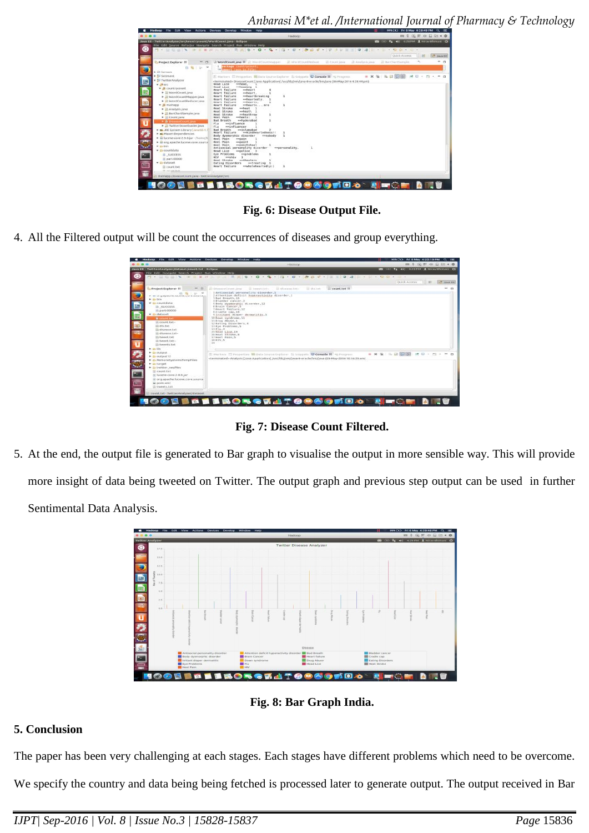*Anbarasi M\*et al. /International Journal of Pharmacy & Technology* 

| File Edit Source Refactor Navigate Search Project Ron Window Help         | <b>PER SOLO AND A REAL PROPERTY AND A REAL PROPERTY AND A REAL PROPERTY AND A REAL PROPERTY AND A REAL PROPERTY AND</b><br>$0.410 - 1.400 + 0.40$<br>2 2 1 2 3 3 3 3 |
|---------------------------------------------------------------------------|----------------------------------------------------------------------------------------------------------------------------------------------------------------------|
|                                                                           | Quick Access<br>33 Bayer <sup>8</sup>                                                                                                                                |
| Project Explorer III<br>ь                                                 | $-20$<br>It wordcount java \$\$ It wordcount Mapper<br>- III. World Count Bedure<br>U. Count Java.<br>(D. Amelysticiaus)<br>III BarchartSample                       |
| 白福山                                                                       | pockage <i>rountrycount</i> ,<br>mort lays is Film                                                                                                                   |
| <b>B.</b> Wh Servers                                                      |                                                                                                                                                                      |
| + Sil Settiment<br><b>v Jul</b> Twitter Analyzer                          | - x %   % D   5750<br>被回 4 四十<br>E Mackers E Properties BI Data Source Explorer & Anippets C Console II ~ Frogress                                                   |
| w imarc.                                                                  | HAAG LICE<br>conead,                                                                                                                                                 |
| <b>W</b> countrycount                                                     | Head Lice<br>==heading 1                                                                                                                                             |
| F (ii) WordCount.java                                                     | maheart<br>Heart failure<br>Heart failure<br>usheart.                                                                                                                |
| > Ill WordCountMapper.java                                                | == heartbreaking<br>Heart failure                                                                                                                                    |
| > III WordCountReducer.java                                               | ==heariedly.<br>Heart failure<br>Heart failure<br>wahearts,                                                                                                          |
| w III mainapp                                                             | Heart Tailure<br><b>HHbmartsmrm</b>                                                                                                                                  |
| E Ji) Analysis Java                                                       | Heat Stroke<br>==heat<br>$r$ antes<br>Heat Stroke                                                                                                                    |
| F JE BarChartSampleJava                                                   | suheathrow<br><b>Heat Stroke</b>                                                                                                                                     |
| Count.java                                                                | mehnels:<br>Heel Pain                                                                                                                                                |
| > & DiseaseCount Java                                                     | ==hyderabad<br><b>Bad Breath</b><br>F1u<br><i>esinfluence</i>                                                                                                        |
| > II TwitterDownloader.java                                               | ==influencer<br>FLu                                                                                                                                                  |
| F mi JRE System Library [JavaSE-1.                                        | == islamabad<br><b>Bad Breath</b><br>Heart failure<br>n=kindheartedness!!                                                                                            |
| » ml Mayen Dependencies                                                   | Body dysmorphic disorder<br>winnobody                                                                                                                                |
| F in lucene core-2.9.0.jar - /home/h<br>> B org.apache.lucene.core.source | Heel Pain<br>**pain<br>Heel Paln<br>--paint                                                                                                                          |
| # ilm bin                                                                 | supanchsheel<br>Heel Pain                                                                                                                                            |
| · Ze countdata                                                            | Antisocial personality disorder<br>==personality.<br>megalice 3<br><b>Head Lice</b>                                                                                  |
| <b>B</b> success                                                          | <i>mmgroblems</i><br>Eye Problems                                                                                                                                    |
| Digit 00000                                                               | weshiv<br>-1<br><b>HIV</b>                                                                                                                                           |
|                                                                           | Heat Stroke<br>==iheaters<br>Eating Disorders<br>metreating                                                                                                          |
| w di-dataset                                                              | ==wholeheartedly;}<br>Heart failure                                                                                                                                  |
| <b>B</b> count.txt                                                        |                                                                                                                                                                      |

**Fig. 6: Disease Output File.**

4. All the Filtered output will be count the occurrences of diseases and group everything.

|                                                                                                                                                                                                                                                                                                                                                                                                                                                                                                                                                                                                  | Java EE - Twitter Analyser Alataset Acount. Lit - Exlipse                                                                                                                                                                                                                                                                                                                                                                                                                                                                                                   |                                 |                                                       |
|--------------------------------------------------------------------------------------------------------------------------------------------------------------------------------------------------------------------------------------------------------------------------------------------------------------------------------------------------------------------------------------------------------------------------------------------------------------------------------------------------------------------------------------------------------------------------------------------------|-------------------------------------------------------------------------------------------------------------------------------------------------------------------------------------------------------------------------------------------------------------------------------------------------------------------------------------------------------------------------------------------------------------------------------------------------------------------------------------------------------------------------------------------------------------|---------------------------------|-------------------------------------------------------|
| $\sim$                                                                                                                                                                                                                                                                                                                                                                                                                                                                                                                                                                                           | File Edit Navigate Search Project Bun Window Help<br>and the six in N. C. and the six and six and six                                                                                                                                                                                                                                                                                                                                                                                                                                                       | $= 1.6 + 0.4 + 0.4 + 0.4 + 0.4$ | <b>100 CAP #4 40 GUIDEA &amp; NICHO INTERNATE CO.</b> |
|                                                                                                                                                                                                                                                                                                                                                                                                                                                                                                                                                                                                  |                                                                                                                                                                                                                                                                                                                                                                                                                                                                                                                                                             |                                 | Quick Arewes [11]<br><b>III</b> Furtherman            |
| <b>Project Explorer III</b><br><b>MI 23</b><br>P. BY MISCHIER/HEINVARTE/VAR BUSINESSES<br><b>k</b> lin-bin<br>w ga countstata<br>in success<br>ill part-00000<br>w ils dataset<br><b>B</b> countries<br>ili count.txt-<br>ill dis.bet<br>ili diseasas ta t<br>iii) disease txt-<br>Illi tweet.txt<br>III tweet.tet-<br>ili Iweets.tat<br>$E = 100$<br><b>F ED BURENE</b><br>$F$ Dy authorit 12<br>* gis Reinotetystems fempfiles<br># lin-terget<br>h in twitter seuffer<br>Ill count tat<br>Il fucene-core-2.9.0.jar<br>Ill org.apache.lucene.core.source<br>iai poorre.serret<br>IE tweets.txt | (B) Diseases Down James<br>(i) issues that we<br>UI disease tyt-<br>U. Olk Feb.<br>LAntisscial personality disorder, 1<br>2Attention deficit hyperactivity disorder, 1<br>3 Bad Breath, 16<br>ABladder canter, 2<br>i Body skismarphic sitsorder, 12<br><b>SBrain Concer.5</b><br>THeart Fallure, 12<br><i><b>SCradle cap.18</b></i><br>9.Irritant diaper dermstitis.l<br>10 Denoy syndrome, 11<br>11 Drug Abuse, 1<br>12 Eating Oliecders 4<br>11Eye Problems.b<br>10010.4<br>in Head Lice.14<br>lo Heat Stroke. N<br>17 Hool Pain.5<br>IS HIV.5<br>39.753 | $\cdots$<br>Count tet III       |                                                       |
|                                                                                                                                                                                                                                                                                                                                                                                                                                                                                                                                                                                                  | E Markers El Properties White Souths Explorer In Shippets ID Console II Hi Programs<br><terminated> Aralysis [Java Application] /usr/lib/jwn/java @-oracle/bin/java (03-May-2016 10:56:25 am)</terminated>                                                                                                                                                                                                                                                                                                                                                  | ■ W 後   当 記 提   图   时           |                                                       |

**Fig. 7: Disease Count Filtered.**

5. At the end, the output file is generated to Bar graph to visualise the output in more sensible way. This will provide more insight of data being tweeted on Twitter. The output graph and previous step output can be used in further Sentimental Data Analysis.



**Fig. 8: Bar Graph India.**

## **5. Conclusion**

The paper has been very challenging at each stages. Each stages have different problems which need to be overcome.

We specify the country and data being being fetched is processed later to generate output. The output received in Bar